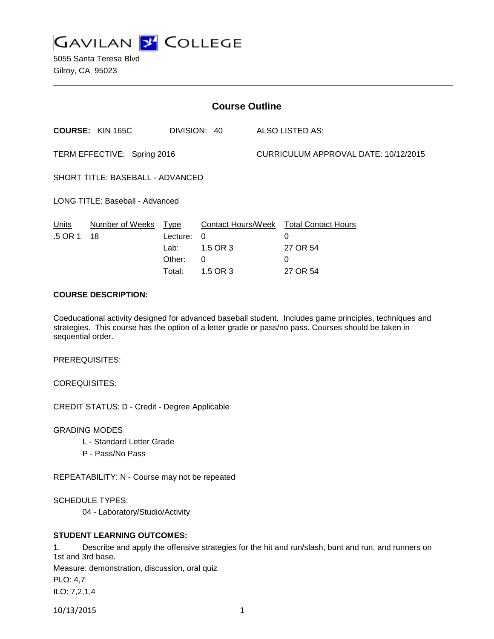

5055 Santa Teresa Blvd Gilroy, CA 95023

| <b>Course Outline</b>            |                         |                                              |                                       |                                      |                                                                          |
|----------------------------------|-------------------------|----------------------------------------------|---------------------------------------|--------------------------------------|--------------------------------------------------------------------------|
|                                  | <b>COURSE: KIN 165C</b> |                                              | DIVISION: 40                          |                                      | <b>ALSO LISTED AS:</b>                                                   |
| TERM EFFECTIVE: Spring 2016      |                         |                                              |                                       | CURRICULUM APPROVAL DATE: 10/12/2015 |                                                                          |
| SHORT TITLE: BASEBALL - ADVANCED |                         |                                              |                                       |                                      |                                                                          |
| LONG TITLE: Baseball - Advanced  |                         |                                              |                                       |                                      |                                                                          |
| Units<br>.5 OR 1                 | Number of Weeks<br>18   | Type<br>Lecture:<br>Lab:<br>Other:<br>Total: | $\Omega$<br>1.5 OR 3<br>0<br>1.5 OR 3 |                                      | Contact Hours/Week Total Contact Hours<br>0<br>27 OR 54<br>0<br>27 OR 54 |

## **COURSE DESCRIPTION:**

Coeducational activity designed for advanced baseball student. Includes game principles, techniques and strategies. This course has the option of a letter grade or pass/no pass. Courses should be taken in sequential order.

PREREQUISITES:

COREQUISITES:

CREDIT STATUS: D - Credit - Degree Applicable

GRADING MODES

- L Standard Letter Grade
- P Pass/No Pass

REPEATABILITY: N - Course may not be repeated

SCHEDULE TYPES:

04 - Laboratory/Studio/Activity

### **STUDENT LEARNING OUTCOMES:**

1. Describe and apply the offensive strategies for the hit and run/slash, bunt and run, and runners on 1st and 3rd base.

Measure: demonstration, discussion, oral quiz

PLO: 4,7

ILO: 7,2,1,4

10/13/2015 1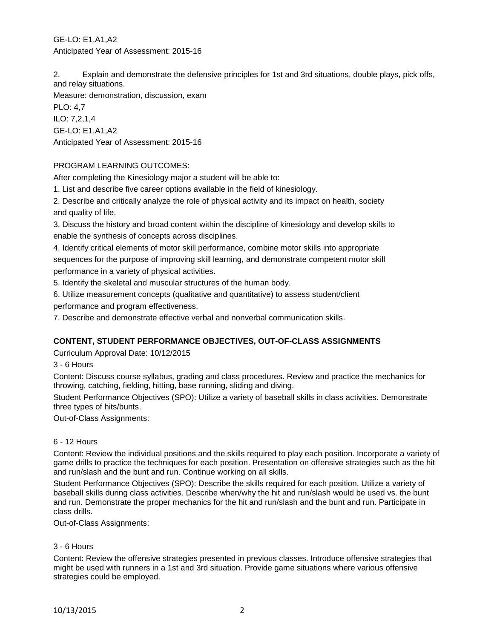2. Explain and demonstrate the defensive principles for 1st and 3rd situations, double plays, pick offs, and relay situations.

Measure: demonstration, discussion, exam PLO: 4,7 ILO: 7,2,1,4 GE-LO: E1,A1,A2 Anticipated Year of Assessment: 2015-16

# PROGRAM LEARNING OUTCOMES:

After completing the Kinesiology major a student will be able to:

1. List and describe five career options available in the field of kinesiology.

2. Describe and critically analyze the role of physical activity and its impact on health, society and quality of life.

3. Discuss the history and broad content within the discipline of kinesiology and develop skills to enable the synthesis of concepts across disciplines.

4. Identify critical elements of motor skill performance, combine motor skills into appropriate sequences for the purpose of improving skill learning, and demonstrate competent motor skill performance in a variety of physical activities.

5. Identify the skeletal and muscular structures of the human body.

6. Utilize measurement concepts (qualitative and quantitative) to assess student/client

performance and program effectiveness.

7. Describe and demonstrate effective verbal and nonverbal communication skills.

# **CONTENT, STUDENT PERFORMANCE OBJECTIVES, OUT-OF-CLASS ASSIGNMENTS**

Curriculum Approval Date: 10/12/2015

3 - 6 Hours

Content: Discuss course syllabus, grading and class procedures. Review and practice the mechanics for throwing, catching, fielding, hitting, base running, sliding and diving.

Student Performance Objectives (SPO): Utilize a variety of baseball skills in class activities. Demonstrate three types of hits/bunts.

Out-of-Class Assignments:

### 6 - 12 Hours

Content: Review the individual positions and the skills required to play each position. Incorporate a variety of game drills to practice the techniques for each position. Presentation on offensive strategies such as the hit and run/slash and the bunt and run. Continue working on all skills.

Student Performance Objectives (SPO): Describe the skills required for each position. Utilize a variety of baseball skills during class activities. Describe when/why the hit and run/slash would be used vs. the bunt and run. Demonstrate the proper mechanics for the hit and run/slash and the bunt and run. Participate in class drills.

Out-of-Class Assignments:

### 3 - 6 Hours

Content: Review the offensive strategies presented in previous classes. Introduce offensive strategies that might be used with runners in a 1st and 3rd situation. Provide game situations where various offensive strategies could be employed.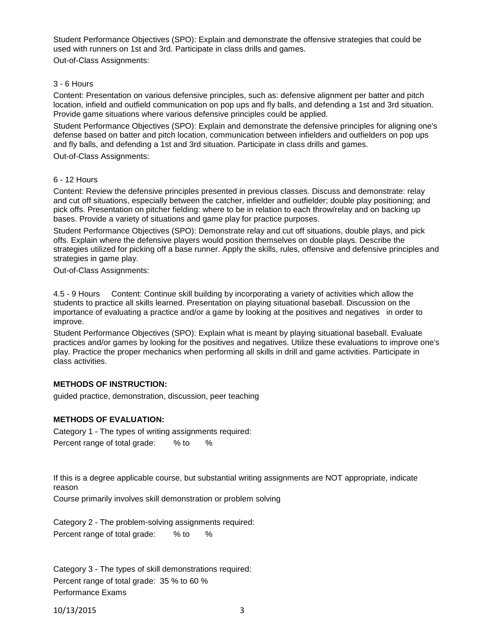Student Performance Objectives (SPO): Explain and demonstrate the offensive strategies that could be used with runners on 1st and 3rd. Participate in class drills and games.

Out-of-Class Assignments:

#### 3 - 6 Hours

Content: Presentation on various defensive principles, such as: defensive alignment per batter and pitch location, infield and outfield communication on pop ups and fly balls, and defending a 1st and 3rd situation. Provide game situations where various defensive principles could be applied.

Student Performance Objectives (SPO): Explain and demonstrate the defensive principles for aligning one's defense based on batter and pitch location, communication between infielders and outfielders on pop ups and fly balls, and defending a 1st and 3rd situation. Participate in class drills and games.

Out-of-Class Assignments:

#### 6 - 12 Hours

Content: Review the defensive principles presented in previous classes. Discuss and demonstrate: relay and cut off situations, especially between the catcher, infielder and outfielder; double play positioning; and pick offs. Presentation on pitcher fielding: where to be in relation to each throw/relay and on backing up bases. Provide a variety of situations and game play for practice purposes.

Student Performance Objectives (SPO): Demonstrate relay and cut off situations, double plays, and pick offs. Explain where the defensive players would position themselves on double plays. Describe the strategies utilized for picking off a base runner. Apply the skills, rules, offensive and defensive principles and strategies in game play.

Out-of-Class Assignments:

4.5 - 9 Hours Content: Continue skill building by incorporating a variety of activities which allow the students to practice all skills learned. Presentation on playing situational baseball. Discussion on the importance of evaluating a practice and/or a game by looking at the positives and negatives in order to improve.

Student Performance Objectives (SPO): Explain what is meant by playing situational baseball. Evaluate practices and/or games by looking for the positives and negatives. Utilize these evaluations to improve one's play. Practice the proper mechanics when performing all skills in drill and game activities. Participate in class activities.

### **METHODS OF INSTRUCTION:**

guided practice, demonstration, discussion, peer teaching

### **METHODS OF EVALUATION:**

Category 1 - The types of writing assignments required: Percent range of total grade: % to %

If this is a degree applicable course, but substantial writing assignments are NOT appropriate, indicate reason

Course primarily involves skill demonstration or problem solving

Category 2 - The problem-solving assignments required: Percent range of total grade: % to %

Category 3 - The types of skill demonstrations required: Percent range of total grade: 35 % to 60 % Performance Exams

10/13/2015 3